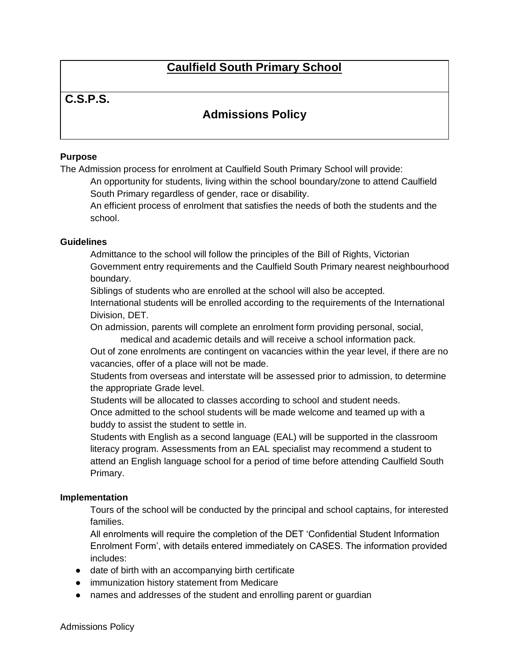# **Caulfield South Primary School**

### **C.S.P.S.**

## **Admissions Policy**

### **Purpose**

The Admission process for enrolment at Caulfield South Primary School will provide:

An opportunity for students, living within the school boundary/zone to attend Caulfield South Primary regardless of gender, race or disability.

An efficient process of enrolment that satisfies the needs of both the students and the school.

#### **Guidelines**

Admittance to the school will follow the principles of the Bill of Rights, Victorian Government entry requirements and the Caulfield South Primary nearest neighbourhood boundary.

Siblings of students who are enrolled at the school will also be accepted.

International students will be enrolled according to the requirements of the International Division, DET.

On admission, parents will complete an enrolment form providing personal, social,

medical and academic details and will receive a school information pack.

Out of zone enrolments are contingent on vacancies within the year level, if there are no vacancies, offer of a place will not be made.

Students from overseas and interstate will be assessed prior to admission, to determine the appropriate Grade level.

Students will be allocated to classes according to school and student needs.

Once admitted to the school students will be made welcome and teamed up with a buddy to assist the student to settle in.

Students with English as a second language (EAL) will be supported in the classroom literacy program. Assessments from an EAL specialist may recommend a student to attend an English language school for a period of time before attending Caulfield South Primary.

#### **Implementation**

Tours of the school will be conducted by the principal and school captains, for interested families.

All enrolments will require the completion of the DET 'Confidential Student Information Enrolment Form', with details entered immediately on CASES. The information provided includes:

- date of birth with an accompanying birth certificate
- immunization history statement from Medicare
- names and addresses of the student and enrolling parent or quardian